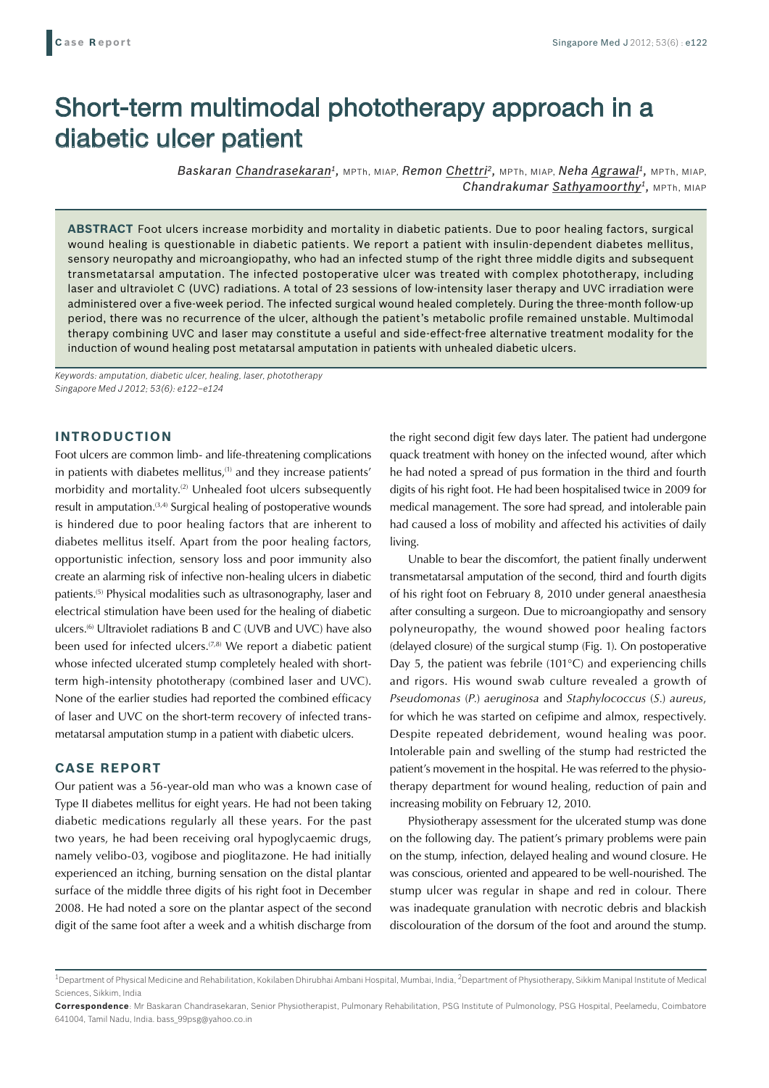# Short-term multimodal phototherapy approach in a diabetic ulcer patient

*Baskaran Chandrasekaran1,* MPTh, MIAP, *Remon Chettri2,* MPTh, MIAP, *Neha Agrawal1,* MPTh, MIAP, **Chandrakumar Sathyamoorthy<sup>1</sup>, MPTh, MIAP** 

**ABSTRACT** Foot ulcers increase morbidity and mortality in diabetic patients. Due to poor healing factors, surgical wound healing is questionable in diabetic patients. We report a patient with insulin-dependent diabetes mellitus, sensory neuropathy and microangiopathy, who had an infected stump of the right three middle digits and subsequent transmetatarsal amputation. The infected postoperative ulcer was treated with complex phototherapy, including laser and ultraviolet C (UVC) radiations. A total of 23 sessions of low-intensity laser therapy and UVC irradiation were administered over a five-week period. The infected surgical wound healed completely. During the three-month follow-up period, there was no recurrence of the ulcer, although the patient's metabolic profile remained unstable. Multimodal therapy combining UVC and laser may constitute a useful and side-effect-free alternative treatment modality for the induction of wound healing post metatarsal amputation in patients with unhealed diabetic ulcers.

*Keywords: amputation, diabetic ulcer, healing, laser, phototherapy Singapore Med J 2012; 53(6): e122–e124*

## **INTRODUCTION**

Foot ulcers are common limb- and life-threatening complications in patients with diabetes mellitus,<sup>(1)</sup> and they increase patients' morbidity and mortality.<sup>(2)</sup> Unhealed foot ulcers subsequently result in amputation. $(3,4)$  Surgical healing of postoperative wounds is hindered due to poor healing factors that are inherent to diabetes mellitus itself. Apart from the poor healing factors, opportunistic infection, sensory loss and poor immunity also create an alarming risk of infective non-healing ulcers in diabetic patients.(5) Physical modalities such as ultrasonography, laser and electrical stimulation have been used for the healing of diabetic ulcers.<sup>(6)</sup> Ultraviolet radiations B and C (UVB and UVC) have also been used for infected ulcers.<sup> $(7,8)$ </sup> We report a diabetic patient whose infected ulcerated stump completely healed with shortterm high-intensity phototherapy (combined laser and UVC). None of the earlier studies had reported the combined efficacy of laser and UVC on the short-term recovery of infected transmetatarsal amputation stump in a patient with diabetic ulcers.

## **CASE REPORT**

Our patient was a 56-year-old man who was a known case of Type II diabetes mellitus for eight years. He had not been taking diabetic medications regularly all these years. For the past two years, he had been receiving oral hypoglycaemic drugs, namely velibo-03, vogibose and pioglitazone. He had initially experienced an itching, burning sensation on the distal plantar surface of the middle three digits of his right foot in December 2008. He had noted a sore on the plantar aspect of the second digit of the same foot after a week and a whitish discharge from

the right second digit few days later. The patient had undergone quack treatment with honey on the infected wound, after which he had noted a spread of pus formation in the third and fourth digits of his right foot. He had been hospitalised twice in 2009 for medical management. The sore had spread, and intolerable pain had caused a loss of mobility and affected his activities of daily living.

Unable to bear the discomfort, the patient finally underwent transmetatarsal amputation of the second, third and fourth digits of his right foot on February 8, 2010 under general anaesthesia after consulting a surgeon. Due to microangiopathy and sensory polyneuropathy, the wound showed poor healing factors (delayed closure) of the surgical stump (Fig. 1). On postoperative Day 5, the patient was febrile (101°C) and experiencing chills and rigors. His wound swab culture revealed a growth of *Pseudomonas* (*P.*) *aeruginosa* and *Staphylococcus* (*S.*) *aureus*, for which he was started on cefipime and almox, respectively. Despite repeated debridement, wound healing was poor. Intolerable pain and swelling of the stump had restricted the patient's movement in the hospital. He was referred to the physiotherapy department for wound healing, reduction of pain and increasing mobility on February 12, 2010.

Physiotherapy assessment for the ulcerated stump was done on the following day. The patient's primary problems were pain on the stump, infection, delayed healing and wound closure. He was conscious, oriented and appeared to be well-nourished. The stump ulcer was regular in shape and red in colour. There was inadequate granulation with necrotic debris and blackish discolouration of the dorsum of the foot and around the stump.

<sup>&</sup>lt;sup>1</sup>Department of Physical Medicine and Rehabilitation, Kokilaben Dhirubhai Ambani Hospital, Mumbai, India, <sup>2</sup>Department of Physiotherapy, Sikkim Manipal Institute of Medical Sciences, Sikkim, India

**Correspondence**: Mr Baskaran Chandrasekaran, Senior Physiotherapist, Pulmonary Rehabilitation, PSG Institute of Pulmonology, PSG Hospital, Peelamedu, Coimbatore 641004, Tamil Nadu, India. bass\_99psg@yahoo.co.in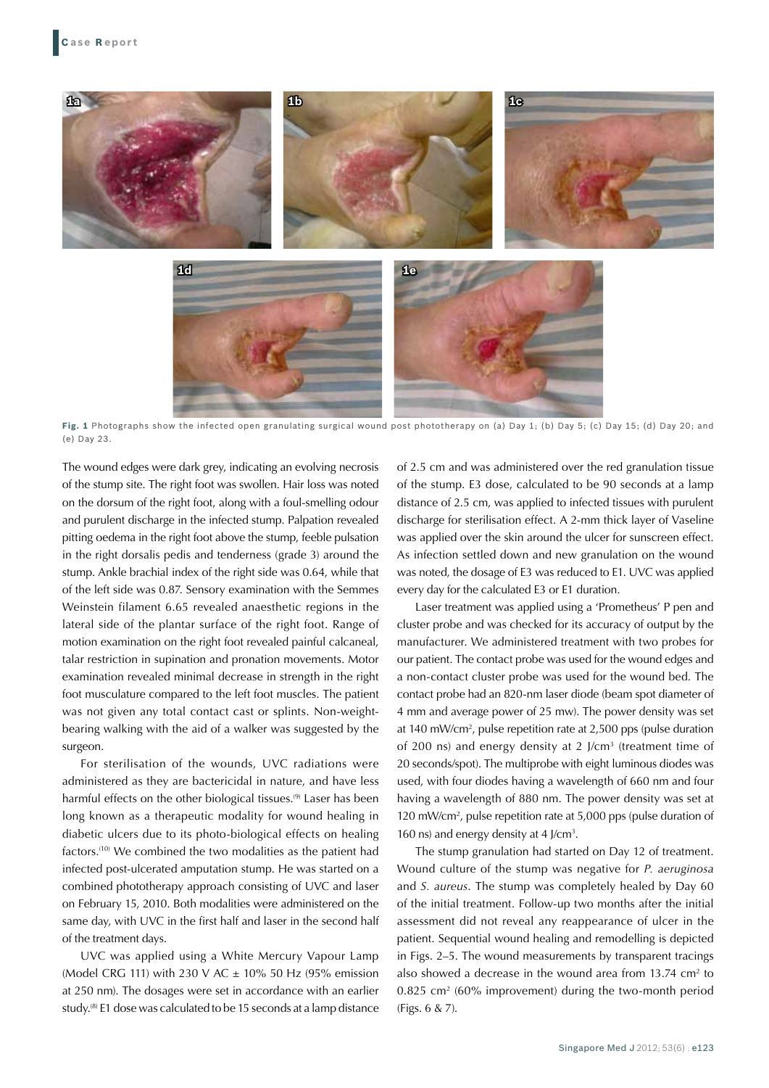

**Fig. 1** Photographs show the infected open granulating surgical wound post phototherapy on (a) Day 1; (b) Day 5; (c) Day 15; (d) Day 20; and (e) Day 23.

The wound edges were dark grey, indicating an evolving necrosis of the stump site. The right foot was swollen. Hair loss was noted on the dorsum of the right foot, along with a foul-smelling odour and purulent discharge in the infected stump. Palpation revealed pitting oedema in the right foot above the stump, feeble pulsation in the right dorsalis pedis and tenderness (grade 3) around the stump. Ankle brachial index of the right side was 0.64, while that of the left side was 0.87. Sensory examination with the Semmes Weinstein filament 6.65 revealed anaesthetic regions in the lateral side of the plantar surface of the right foot. Range of motion examination on the right foot revealed painful calcaneal, talar restriction in supination and pronation movements. Motor examination revealed minimal decrease in strength in the right foot musculature compared to the left foot muscles. The patient was not given any total contact cast or splints. Non-weightbearing walking with the aid of a walker was suggested by the surgeon.

For sterilisation of the wounds, UVC radiations were administered as they are bactericidal in nature, and have less harmful effects on the other biological tissues.<sup>(9)</sup> Laser has been long known as a therapeutic modality for wound healing in diabetic ulcers due to its photo-biological effects on healing factors.(10) We combined the two modalities as the patient had infected post-ulcerated amputation stump. He was started on a combined phototherapy approach consisting of UVC and laser on February 15, 2010. Both modalities were administered on the same day, with UVC in the first half and laser in the second half of the treatment days.

UVC was applied using a White Mercury Vapour Lamp (Model CRG 111) with 230 V AC  $\pm$  10% 50 Hz (95% emission at 250 nm). The dosages were set in accordance with an earlier study.<sup>(8)</sup> E1 dose was calculated to be 15 seconds at a lamp distance of 2.5 cm and was administered over the red granulation tissue of the stump. E3 dose, calculated to be 90 seconds at a lamp distance of 2.5 cm, was applied to infected tissues with purulent discharge for sterilisation effect. A 2-mm thick layer of Vaseline was applied over the skin around the ulcer for sunscreen effect. As infection settled down and new granulation on the wound was noted, the dosage of E3 was reduced to E1. UVC was applied every day for the calculated E3 or E1 duration.

Laser treatment was applied using a 'Prometheus' P pen and cluster probe and was checked for its accuracy of output by the manufacturer. We administered treatment with two probes for our patient. The contact probe was used for the wound edges and a non-contact cluster probe was used for the wound bed. The contact probe had an 820-nm laser diode (beam spot diameter of 4 mm and average power of 25 mw). The power density was set at 140 mW/cm<sup>2</sup>, pulse repetition rate at 2,500 pps (pulse duration of 200 ns) and energy density at 2 J/cm3 (treatment time of 20 seconds/spot). The multiprobe with eight luminous diodes was used, with four diodes having a wavelength of 660 nm and four having a wavelength of 880 nm. The power density was set at 120 mW/cm2 , pulse repetition rate at 5,000 pps (pulse duration of 160 ns) and energy density at 4 J/cm<sup>3</sup>.

The stump granulation had started on Day 12 of treatment. Wound culture of the stump was negative for *P. aeruginosa*  and *S. aureus*. The stump was completely healed by Day 60 of the initial treatment. Follow-up two months after the initial assessment did not reveal any reappearance of ulcer in the patient. Sequential wound healing and remodelling is depicted in Figs. 2–5. The wound measurements by transparent tracings also showed a decrease in the wound area from  $13.74 \text{ cm}^2$  to 0.825 cm2 (60% improvement) during the two-month period (Figs. 6 & 7).